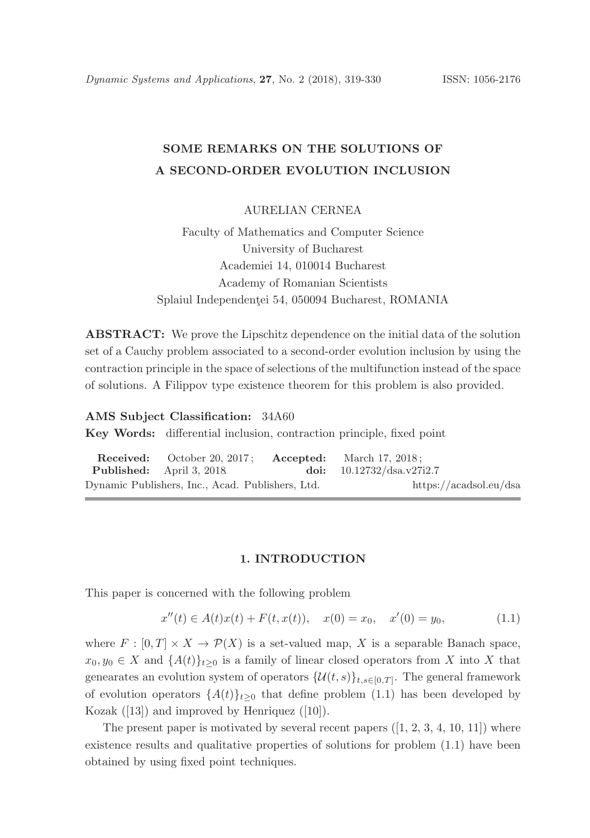# SOME REMARKS ON THE SOLUTIONS OF A SECOND-ORDER EVOLUTION INCLUSION

AURELIAN CERNEA

Faculty of Mathematics and Computer Science University of Bucharest Academiei 14, 010014 Bucharest Academy of Romanian Scientists Splaiul Independenței 54, 050094 Bucharest, ROMANIA

ABSTRACT: We prove the Lipschitz dependence on the initial data of the solution set of a Cauchy problem associated to a second-order evolution inclusion by using the contraction principle in the space of selections of the multifunction instead of the space of solutions. A Filippov type existence theorem for this problem is also provided.

### AMS Subject Classification: 34A60

Key Words: differential inclusion, contraction principle, fixed point

|                                                  | <b>Received:</b> October 20, 2017; <b>Accepted:</b> March 17, 2018; |  |                             |
|--------------------------------------------------|---------------------------------------------------------------------|--|-----------------------------|
|                                                  | <b>Published:</b> April 3, 2018                                     |  | doi: $10.12732/dsa.v27i2.7$ |
| Dynamic Publishers, Inc., Acad. Publishers, Ltd. |                                                                     |  | https://acadsol.eu/dsa      |

## 1. INTRODUCTION

This paper is concerned with the following problem

$$
x''(t) \in A(t)x(t) + F(t, x(t)), \quad x(0) = x_0, \quad x'(0) = y_0,\tag{1.1}
$$

where  $F : [0, T] \times X \to \mathcal{P}(X)$  is a set-valued map, X is a separable Banach space,  $x_0, y_0 \in X$  and  $\{A(t)\}_{t>0}$  is a family of linear closed operators from X into X that genearates an evolution system of operators  $\{\mathcal{U}(t,s)\}_{t,s\in[0,T]}$ . The general framework of evolution operators  $\{A(t)\}_{t>0}$  that define problem (1.1) has been developed by Kozak  $([13])$  and improved by Henriquez  $([10])$ .

The present paper is motivated by several recent papers  $([1, 2, 3, 4, 10, 11])$  where existence results and qualitative properties of solutions for problem (1.1) have been obtained by using fixed point techniques.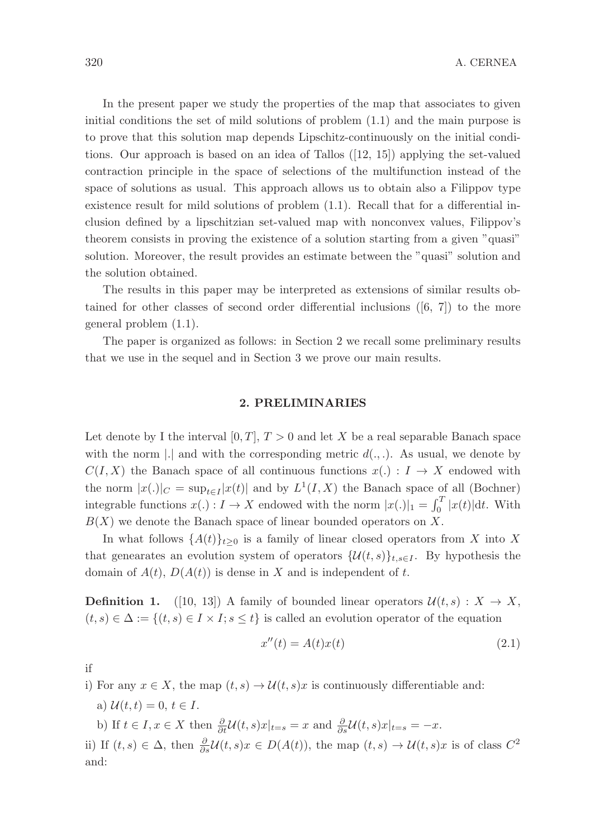In the present paper we study the properties of the map that associates to given initial conditions the set of mild solutions of problem (1.1) and the main purpose is to prove that this solution map depends Lipschitz-continuously on the initial conditions. Our approach is based on an idea of Tallos ([12, 15]) applying the set-valued contraction principle in the space of selections of the multifunction instead of the space of solutions as usual. This approach allows us to obtain also a Filippov type existence result for mild solutions of problem (1.1). Recall that for a differential inclusion defined by a lipschitzian set-valued map with nonconvex values, Filippov's theorem consists in proving the existence of a solution starting from a given "quasi" solution. Moreover, the result provides an estimate between the "quasi" solution and the solution obtained.

The results in this paper may be interpreted as extensions of similar results obtained for other classes of second order differential inclusions  $([6, 7])$  to the more general problem (1.1).

The paper is organized as follows: in Section 2 we recall some preliminary results that we use in the sequel and in Section 3 we prove our main results.

# 2. PRELIMINARIES

Let denote by I the interval  $[0, T]$ ,  $T > 0$  and let X be a real separable Banach space with the norm |.| and with the corresponding metric  $d(.,.)$ . As usual, we denote by  $C(I, X)$  the Banach space of all continuous functions  $x(.) : I \rightarrow X$  endowed with the norm  $|x(.)|_C = \sup_{t \in I} |x(t)|$  and by  $L^1(I, X)$  the Banach space of all (Bochner) integrable functions  $x(.) : I \to X$  endowed with the norm  $|x(.)|_1 = \int_0^T |x(t)| dt$ . With  $B(X)$  we denote the Banach space of linear bounded operators on X.

In what follows  $\{A(t)\}_{t>0}$  is a family of linear closed operators from X into X that genearates an evolution system of operators  $\{\mathcal{U}(t,s)\}_{t,s\in I}$ . By hypothesis the domain of  $A(t)$ ,  $D(A(t))$  is dense in X and is independent of t.

**Definition 1.** ([10, 13]) A family of bounded linear operators  $\mathcal{U}(t, s) : X \to X$ ,  $(t, s) \in \Delta := \{(t, s) \in I \times I; s \leq t\}$  is called an evolution operator of the equation

$$
x''(t) = A(t)x(t)
$$
\n
$$
(2.1)
$$

if

i) For any  $x \in X$ , the map  $(t, s) \to \mathcal{U}(t, s)x$  is continuously differentiable and:

a)  $\mathcal{U}(t,t) = 0, t \in I$ .

b) If  $t \in I$ ,  $x \in X$  then  $\frac{\partial}{\partial t} \mathcal{U}(t, s) x|_{t=s} = x$  and  $\frac{\partial}{\partial s} \mathcal{U}(t, s) x|_{t=s} = -x$ .

ii) If  $(t, s) \in \Delta$ , then  $\frac{\partial}{\partial s} \mathcal{U}(t, s) x \in D(A(t))$ , the map  $(t, s) \to \mathcal{U}(t, s) x$  is of class  $C^2$ and: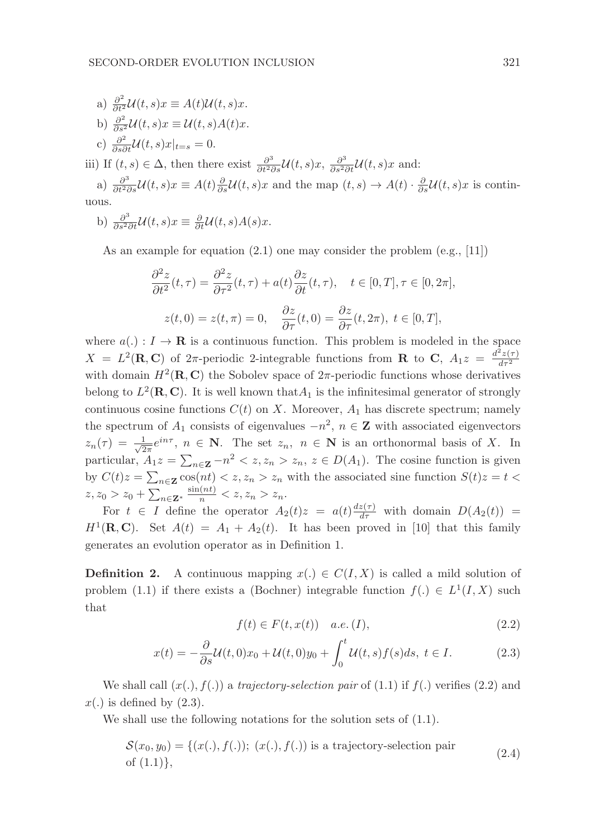a) 
$$
\frac{\partial^2}{\partial t^2} \mathcal{U}(t, s)x \equiv A(t)\mathcal{U}(t, s)x
$$
.  
b)  $\frac{\partial^2}{\partial s^2} \mathcal{U}(t, s)x \equiv \mathcal{U}(t, s)A(t)x$ .

c)  $\frac{\partial^2}{\partial s \partial t} \mathcal{U}(t,s)x|_{t=s} = 0.$ 

iii) If  $(t, s) \in \Delta$ , then there exist  $\frac{\partial^3}{\partial t^2 \partial s} \mathcal{U}(t, s) x$ ,  $\frac{\partial^3}{\partial s^2 \partial t} \mathcal{U}(t, s) x$  and:

a)  $\frac{\partial^3}{\partial t^2 \partial s} \mathcal{U}(t,s)x \equiv A(t) \frac{\partial}{\partial s} \mathcal{U}(t,s)x$  and the map  $(t,s) \to A(t) \cdot \frac{\partial}{\partial s} \mathcal{U}(t,s)x$  is continuous.

b) 
$$
\frac{\partial^3}{\partial s^2 \partial t} \mathcal{U}(t,s)x \equiv \frac{\partial}{\partial t} \mathcal{U}(t,s)A(s)x.
$$

As an example for equation  $(2.1)$  one may consider the problem  $(e.g., [11])$ 

$$
\frac{\partial^2 z}{\partial t^2}(t,\tau) = \frac{\partial^2 z}{\partial \tau^2}(t,\tau) + a(t)\frac{\partial z}{\partial t}(t,\tau), \quad t \in [0,T], \tau \in [0,2\pi],
$$
  

$$
z(t,0) = z(t,\pi) = 0, \quad \frac{\partial z}{\partial \tau}(t,0) = \frac{\partial z}{\partial \tau}(t,2\pi), \ t \in [0,T],
$$

where  $a(.) : I \to \mathbf{R}$  is a continuous function. This problem is modeled in the space  $X = L^2(\mathbf{R}, \mathbf{C})$  of  $2\pi$ -periodic 2-integrable functions from **R** to **C**,  $A_1 z = \frac{d^2 z(\tau)}{d\tau^2}$ with domain  $H^2(\mathbf{R}, \mathbf{C})$  the Sobolev space of  $2\pi$ -periodic functions whose derivatives belong to  $L^2(\mathbf{R}, \mathbf{C})$ . It is well known that  $A_1$  is the infinitesimal generator of strongly continuous cosine functions  $C(t)$  on X. Moreover,  $A_1$  has discrete spectrum; namely the spectrum of  $A_1$  consists of eigenvalues  $-n^2$ ,  $n \in \mathbb{Z}$  with associated eigenvectors  $z_n(\tau) = \frac{1}{\sqrt{2}}$  $\frac{1}{2\pi}e^{in\tau}$ ,  $n \in \mathbb{N}$ . The set  $z_n$ ,  $n \in \mathbb{N}$  is an orthonormal basis of X. In particular,  $A_1 z = \sum_{n \in \mathbf{Z}} -n^2 < z, z_n > z_n, z \in D(A_1)$ . The cosine function is given by  $C(t)z = \sum_{n \in \mathbb{Z}} \cos(nt) \leq z, z_n > z_n$  with the associated sine function  $S(t)z = t$  $z, z_0 > z_0 + \sum_{n \in \mathbf{Z}^*} \frac{\sin(nt)}{n} < z, z_n > z_n.$ 

For  $t \in I$  define the operator  $A_2(t)z = a(t) \frac{dz(\tau)}{d\tau}$  with domain  $D(A_2(t))$  =  $H^1(\mathbf{R}, \mathbf{C})$ . Set  $A(t) = A_1 + A_2(t)$ . It has been proved in [10] that this family generates an evolution operator as in Definition 1.

**Definition 2.** A continuous mapping  $x(.) \in C(I, X)$  is called a mild solution of problem (1.1) if there exists a (Bochner) integrable function  $f(.) \in L^1(I, X)$  such that

$$
f(t) \in F(t, x(t)) \quad a.e. (I), \tag{2.2}
$$

$$
x(t) = -\frac{\partial}{\partial s}\mathcal{U}(t,0)x_0 + \mathcal{U}(t,0)y_0 + \int_0^t \mathcal{U}(t,s)f(s)ds, \ t \in I.
$$
 (2.3)

We shall call  $(x(.), f(.))$  a trajectory-selection pair of  $(1.1)$  if  $f(.)$  verifies  $(2.2)$  and  $x(.)$  is defined by  $(2.3).$ 

We shall use the following notations for the solution sets of  $(1.1)$ .

$$
\mathcal{S}(x_0, y_0) = \{(x(.), f(.)); (x(.), f(.)) \text{ is a trajectory-selection pair} \tag{2.4}
$$
  
of (1.1)},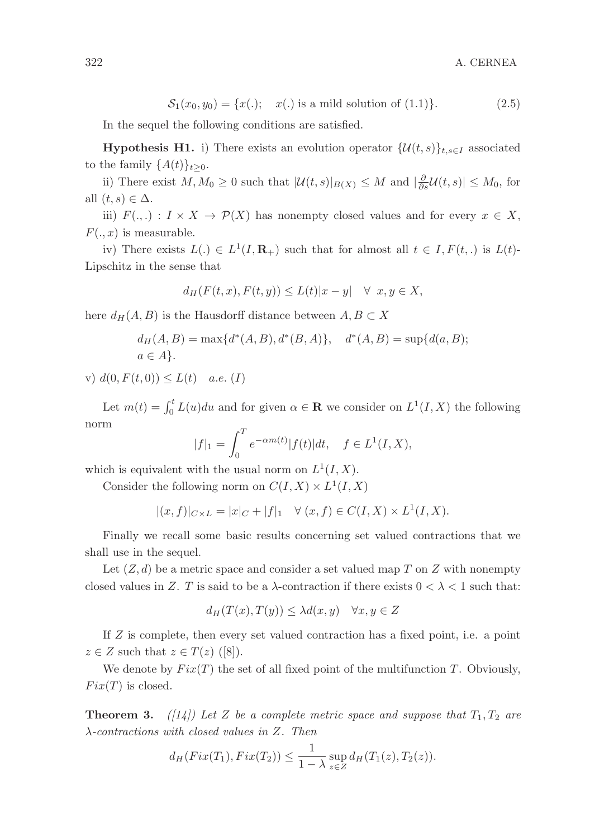$$
S_1(x_0, y_0) = \{x(.); \quad x(.) \text{ is a mild solution of } (1.1)\}. \tag{2.5}
$$

In the sequel the following conditions are satisfied.

**Hypothesis H1.** i) There exists an evolution operator  $\{U(t, s)\}_{t, s \in I}$  associated to the family  $\{A(t)\}_{t\geq0}$ .

ii) There exist  $M, M_0 \geq 0$  such that  $|\mathcal{U}(t, s)|_{B(X)} \leq M$  and  $|\frac{\partial}{\partial s}\mathcal{U}(t, s)| \leq M_0$ , for all  $(t, s) \in \Delta$ .

iii)  $F(.,.) : I \times X \to \mathcal{P}(X)$  has nonempty closed values and for every  $x \in X$ ,  $F(.,x)$  is measurable.

iv) There exists  $L(.) \in L^1(I, \mathbf{R}_+)$  such that for almost all  $t \in I, F(t,.)$  is  $L(t)$ -Lipschitz in the sense that

$$
d_H(F(t,x), F(t,y)) \le L(t)|x-y| \quad \forall \ x, y \in X,
$$

here  $d_H(A, B)$  is the Hausdorff distance between  $A, B \subset X$ 

$$
d_H(A, B) = \max\{d^*(A, B), d^*(B, A)\}, \quad d^*(A, B) = \sup\{d(a, B); a \in A\}.
$$

v)  $d(0, F(t, 0)) \leq L(t)$  a.e. (I)

Let  $m(t) = \int_0^t L(u) du$  and for given  $\alpha \in \mathbf{R}$  we consider on  $L^1(I, X)$  the following norm

$$
|f|_1 = \int_0^T e^{-\alpha m(t)} |f(t)| dt, \quad f \in L^1(I, X),
$$

which is equivalent with the usual norm on  $L^1(I, X)$ .

Consider the following norm on  $C(I, X) \times L^1(I, X)$ 

$$
|(x, f)|_{C \times L} = |x|_C + |f|_1 \quad \forall (x, f) \in C(I, X) \times L^1(I, X).
$$

Finally we recall some basic results concerning set valued contractions that we shall use in the sequel.

Let  $(Z, d)$  be a metric space and consider a set valued map T on Z with nonempty closed values in Z. T is said to be a  $\lambda$ -contraction if there exists  $0 < \lambda < 1$  such that:

$$
d_H(T(x), T(y)) \le \lambda d(x, y) \quad \forall x, y \in Z
$$

If Z is complete, then every set valued contraction has a fixed point, i.e. a point  $z \in Z$  such that  $z \in T(z)$  ([8]).

We denote by  $Fix(T)$  the set of all fixed point of the multifunction T. Obviously,  $Fix(T)$  is closed.

**Theorem 3.** ([14]) Let Z be a complete metric space and suppose that  $T_1, T_2$  are λ-contractions with closed values in Z. Then

$$
d_H(Fix(T_1), Fix(T_2)) \le \frac{1}{1-\lambda} \sup_{z \in Z} d_H(T_1(z), T_2(z)).
$$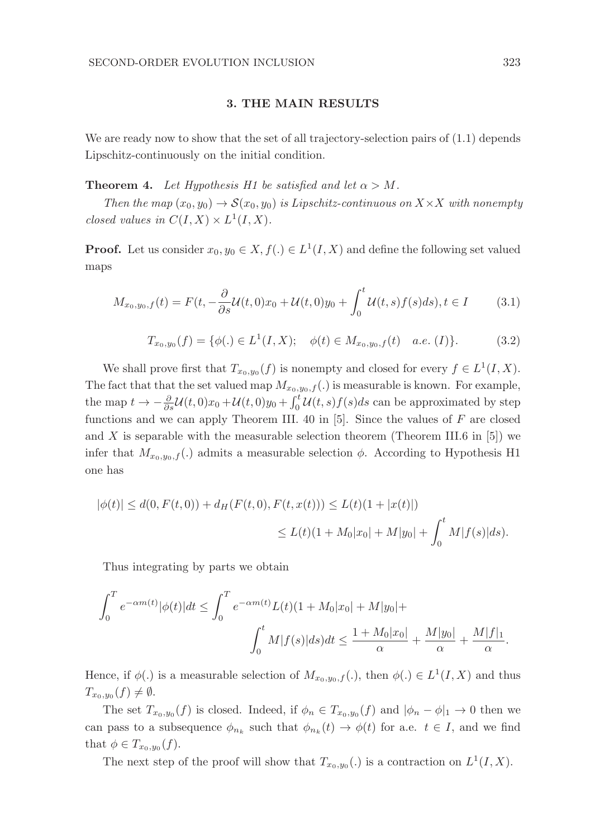## 3. THE MAIN RESULTS

We are ready now to show that the set of all trajectory-selection pairs of  $(1.1)$  depends Lipschitz-continuously on the initial condition.

**Theorem 4.** Let Hypothesis H1 be satisfied and let  $\alpha > M$ .

Then the map  $(x_0, y_0) \rightarrow \mathcal{S}(x_0, y_0)$  is Lipschitz-continuous on  $X \times X$  with nonempty closed values in  $C(I, X) \times L^1(I, X)$ .

**Proof.** Let us consider  $x_0, y_0 \in X, f(.) \in L^1(I, X)$  and define the following set valued maps

$$
M_{x_0, y_0, f}(t) = F(t, -\frac{\partial}{\partial s} \mathcal{U}(t, 0)x_0 + \mathcal{U}(t, 0)y_0 + \int_0^t \mathcal{U}(t, s) f(s) ds), t \in I \tag{3.1}
$$

$$
T_{x_0,y_0}(f) = \{ \phi(.) \in L^1(I, X); \quad \phi(t) \in M_{x_0,y_0,f}(t) \quad a.e. (I) \}.
$$
 (3.2)

We shall prove first that  $T_{x_0,y_0}(f)$  is nonempty and closed for every  $f \in L^1(I,X)$ . The fact that that the set valued map  $M_{x_0,y_0,f}(.)$  is measurable is known. For example, the map  $t \to -\frac{\partial}{\partial s} \mathcal{U}(t,0)x_0 + \mathcal{U}(t,0)y_0 + \int_0^t \mathcal{U}(t,s)f(s)ds$  can be approximated by step functions and we can apply Theorem III. 40 in  $[5]$ . Since the values of F are closed and X is separable with the measurable selection theorem (Theorem III.6 in  $[5]$ ) we infer that  $M_{x_0,y_0,f}$ .) admits a measurable selection  $\phi$ . According to Hypothesis H1 one has

$$
|\phi(t)| \le d(0, F(t,0)) + d_H(F(t,0), F(t, x(t))) \le L(t)(1+|x(t)|)
$$
  

$$
\le L(t)(1+M_0|x_0|+M|y_0|+\int_0^t M|f(s)|ds).
$$

Thus integrating by parts we obtain

$$
\int_0^T e^{-\alpha m(t)} |\phi(t)| dt \le \int_0^T e^{-\alpha m(t)} L(t) (1 + M_0 |x_0| + M |y_0| +
$$
  

$$
\int_0^t M |f(s)| ds) dt \le \frac{1 + M_0 |x_0|}{\alpha} + \frac{M |y_0|}{\alpha} + \frac{M |f|_1}{\alpha}.
$$

Hence, if  $\phi(.)$  is a measurable selection of  $M_{x_0,y_0,f}(.)$ , then  $\phi(.) \in L^1(I,X)$  and thus  $T_{x_0,y_0}(f) \neq \emptyset.$ 

The set  $T_{x_0,y_0}(f)$  is closed. Indeed, if  $\phi_n \in T_{x_0,y_0}(f)$  and  $|\phi_n - \phi|_1 \to 0$  then we can pass to a subsequence  $\phi_{n_k}$  such that  $\phi_{n_k}(t) \to \phi(t)$  for a.e.  $t \in I$ , and we find that  $\phi \in T_{x_0, y_0}(f)$ .

The next step of the proof will show that  $T_{x_0,y_0}(.)$  is a contraction on  $L^1(I,X)$ .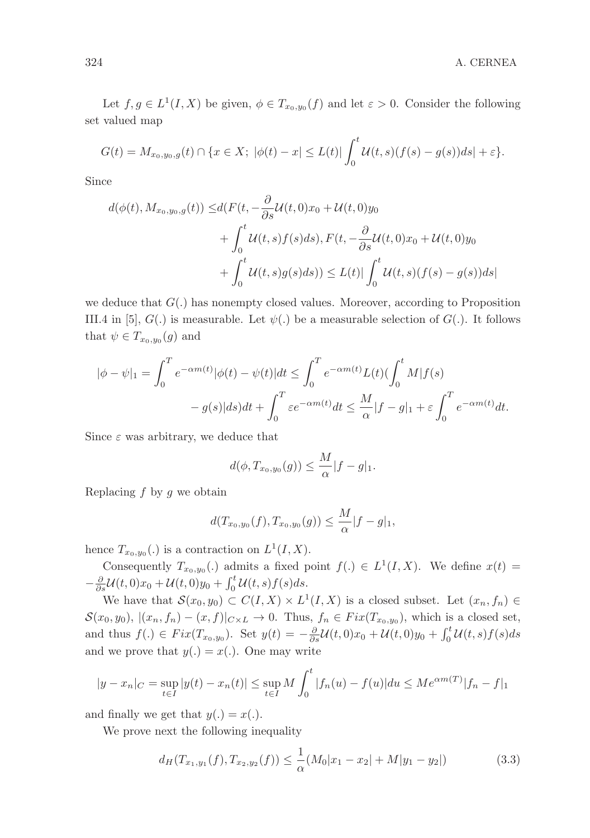Let  $f, g \in L^1(I, X)$  be given,  $\phi \in T_{x_0, y_0}(f)$  and let  $\varepsilon > 0$ . Consider the following set valued map

$$
G(t) = M_{x_0, y_0, g}(t) \cap \{x \in X; \ |\phi(t) - x| \le L(t) | \int_0^t \mathcal{U}(t, s) (f(s) - g(s)) ds | + \varepsilon \}.
$$

Since

$$
d(\phi(t), M_{x_0, y_0, g}(t)) \leq d(F(t, -\frac{\partial}{\partial s}\mathcal{U}(t, 0)x_0 + \mathcal{U}(t, 0)y_0
$$
  
+ 
$$
\int_0^t \mathcal{U}(t, s) f(s) ds), F(t, -\frac{\partial}{\partial s}\mathcal{U}(t, 0)x_0 + \mathcal{U}(t, 0)y_0
$$
  
+ 
$$
\int_0^t \mathcal{U}(t, s) g(s) ds)) \leq L(t) |\int_0^t \mathcal{U}(t, s) (f(s) - g(s)) ds|
$$

we deduce that  $G(.)$  has nonempty closed values. Moreover, according to Proposition III.4 in [5],  $G(.)$  is measurable. Let  $\psi(.)$  be a measurable selection of  $G(.)$ . It follows that  $\psi \in T_{x_0, y_0}(g)$  and

$$
|\phi - \psi|_1 = \int_0^T e^{-\alpha m(t)} |\phi(t) - \psi(t)| dt \le \int_0^T e^{-\alpha m(t)} L(t) (\int_0^t M|f(s) - g(s)|ds) dt + \int_0^T \varepsilon e^{-\alpha m(t)} dt \le \frac{M}{\alpha} |f - g|_1 + \varepsilon \int_0^T e^{-\alpha m(t)} dt.
$$

Since  $\varepsilon$  was arbitrary, we deduce that

$$
d(\phi, T_{x_0,y_0}(g)) \leq \frac{M}{\alpha}|f - g|_1.
$$

Replacing  $f$  by  $g$  we obtain

$$
d(T_{x_0,y_0}(f),T_{x_0,y_0}(g))\leq \frac{M}{\alpha}|f-g|_1,
$$

hence  $T_{x_0,y_0}(.)$  is a contraction on  $L^1(I,X)$ .

Consequently  $T_{x_0,y_0}(.)$  admits a fixed point  $f(.) \in L^1(I,X)$ . We define  $x(t) =$  $-\frac{\partial}{\partial s}\mathcal{U}(t,0)x_0 + \mathcal{U}(t,0)y_0 + \int_0^t \mathcal{U}(t,s)f(s)ds.$ 

We have that  $\mathcal{S}(x_0, y_0) \subset C(I, X) \times L^1(I, X)$  is a closed subset. Let  $(x_n, f_n) \in$  $\mathcal{S}(x_0, y_0), |(x_n, f_n) - (x, f)|_{C \times L} \to 0$ . Thus,  $f_n \in Fix(T_{x_0, y_0}),$  which is a closed set, and thus  $f(.) \in Fix(T_{x_0,y_0})$ . Set  $y(t) = -\frac{\partial}{\partial s}\mathcal{U}(t,0)x_0 + \mathcal{U}(t,0)y_0 + \int_0^t \mathcal{U}(t,s)f(s)ds$ and we prove that  $y(.) = x(.)$ . One may write

$$
|y - x_n|_C = \sup_{t \in I} |y(t) - x_n(t)| \le \sup_{t \in I} M \int_0^t |f_n(u) - f(u)| du \le M e^{\alpha m(T)} |f_n - f|_1
$$

and finally we get that  $y(.) = x(.)$ .

We prove next the following inequality

$$
d_H(T_{x_1,y_1}(f), T_{x_2,y_2}(f)) \le \frac{1}{\alpha}(M_0|x_1 - x_2| + M|y_1 - y_2|)
$$
\n(3.3)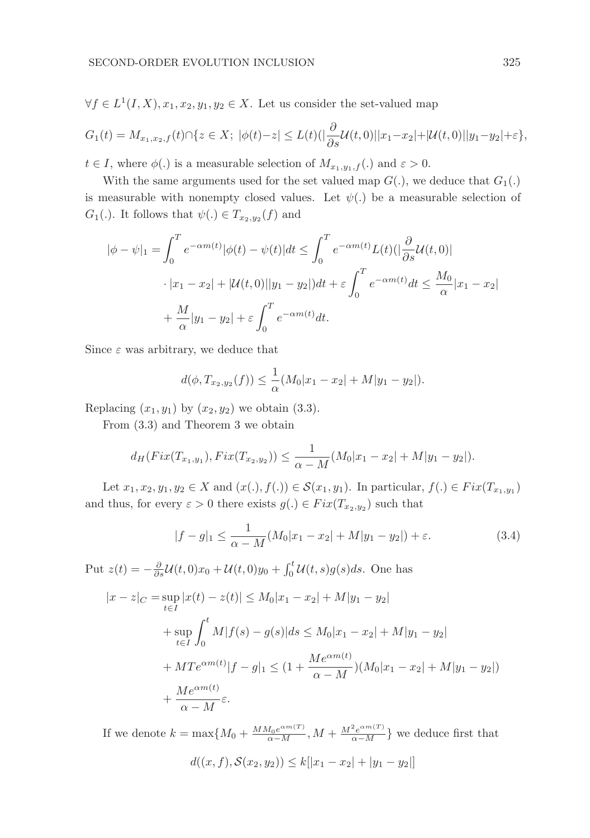$\forall f \in L^1(I, X), x_1, x_2, y_1, y_2 \in X$ . Let us consider the set-valued map

$$
G_1(t) = M_{x_1, x_2, f}(t) \cap \{z \in X; \ |\phi(t) - z| \le L(t) \left(\left|\frac{\partial}{\partial s} \mathcal{U}(t, 0)\right| |x_1 - x_2| + |\mathcal{U}(t, 0)| |y_1 - y_2| + \varepsilon\right\},\
$$

 $t \in I$ , where  $\phi(.)$  is a measurable selection of  $M_{x_1,y_1,f}(.)$  and  $\varepsilon > 0$ .

With the same arguments used for the set valued map  $G(.)$ , we deduce that  $G_1(.)$ is measurable with nonempty closed values. Let  $\psi(.)$  be a measurable selection of  $G_1(.)$ . It follows that  $\psi(.) \in T_{x_2,y_2}(f)$  and

$$
|\phi - \psi|_1 = \int_0^T e^{-\alpha m(t)} |\phi(t) - \psi(t)| dt \le \int_0^T e^{-\alpha m(t)} L(t) (|\frac{\partial}{\partial s} \mathcal{U}(t, 0)|
$$
  

$$
\cdot |x_1 - x_2| + |\mathcal{U}(t, 0)| |y_1 - y_2| dt + \varepsilon \int_0^T e^{-\alpha m(t)} dt \le \frac{M_0}{\alpha} |x_1 - x_2|
$$
  

$$
+ \frac{M}{\alpha} |y_1 - y_2| + \varepsilon \int_0^T e^{-\alpha m(t)} dt.
$$

Since  $\varepsilon$  was arbitrary, we deduce that

$$
d(\phi, T_{x_2,y_2}(f)) \leq \frac{1}{\alpha}(M_0|x_1 - x_2| + M|y_1 - y_2|).
$$

Replacing  $(x_1, y_1)$  by  $(x_2, y_2)$  we obtain (3.3).

From (3.3) and Theorem 3 we obtain

$$
d_H(Fix(T_{x_1,y_1}), Fix(T_{x_2,y_2})) \leq \frac{1}{\alpha - M}(M_0|x_1 - x_2| + M|y_1 - y_2|).
$$

Let  $x_1, x_2, y_1, y_2 \in X$  and  $(x(.), f(.) \in S(x_1, y_1)$ . In particular,  $f(.) \in Fix(T_{x_1, y_1})$ and thus, for every  $\varepsilon > 0$  there exists  $g(.) \in Fix(T_{x_2,y_2})$  such that

$$
|f - g|_1 \le \frac{1}{\alpha - M} (M_0 |x_1 - x_2| + M |y_1 - y_2|) + \varepsilon. \tag{3.4}
$$

Put  $z(t) = -\frac{\partial}{\partial s}\mathcal{U}(t,0)x_0 + \mathcal{U}(t,0)y_0 + \int_0^t \mathcal{U}(t,s)g(s)ds$ . One has

$$
|x - z|_C = \sup_{t \in I} |x(t) - z(t)| \le M_0 |x_1 - x_2| + M|y_1 - y_2|
$$
  
+ 
$$
\sup_{t \in I} \int_0^t M|f(s) - g(s)|ds \le M_0 |x_1 - x_2| + M|y_1 - y_2|
$$
  
+ 
$$
MTe^{\alpha m(t)}|f - g|_1 \le (1 + \frac{Me^{\alpha m(t)}}{\alpha - M})(M_0 |x_1 - x_2| + M|y_1 - y_2|)
$$
  
+ 
$$
\frac{Me^{\alpha m(t)}}{\alpha - M} \varepsilon.
$$

If we denote  $k = \max\{M_0 + \frac{M M_0 e^{\alpha m(T)}}{\alpha - M}, M + \frac{M^2 e^{\alpha m(T)}}{\alpha - M}\}\$  we deduce first that

$$
d((x, f), S(x_2, y_2)) \le k[|x_1 - x_2| + |y_1 - y_2|]
$$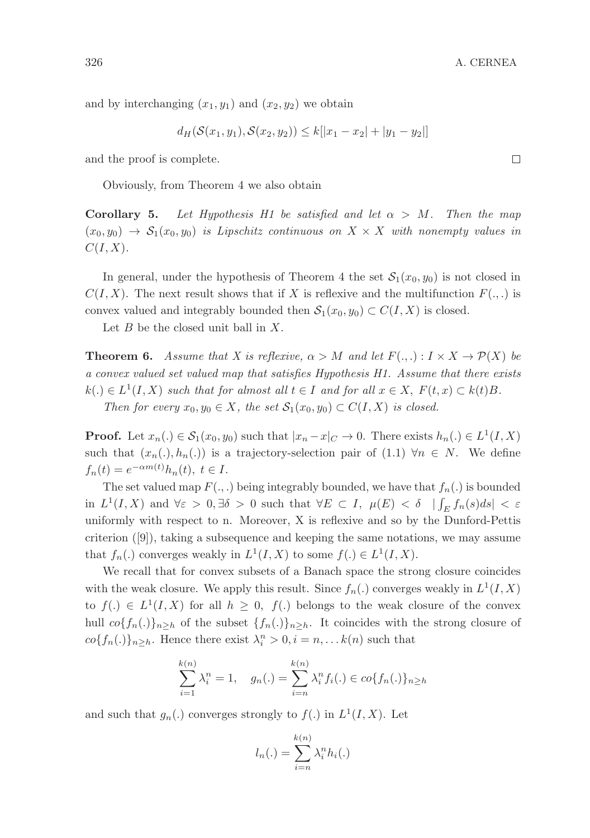and by interchanging  $(x_1, y_1)$  and  $(x_2, y_2)$  we obtain

$$
d_H(\mathcal{S}(x_1, y_1), \mathcal{S}(x_2, y_2)) \le k[|x_1 - x_2| + |y_1 - y_2|]
$$

and the proof is complete.

Obviously, from Theorem 4 we also obtain

**Corollary 5.** Let Hypothesis H1 be satisfied and let  $\alpha > M$ . Then the map  $(x_0, y_0) \rightarrow S_1(x_0, y_0)$  is Lipschitz continuous on  $X \times X$  with nonempty values in  $C(I, X)$ .

In general, under the hypothesis of Theorem 4 the set  $\mathcal{S}_1(x_0, y_0)$  is not closed in  $C(I, X)$ . The next result shows that if X is reflexive and the multifunction  $F(.,.)$  is convex valued and integrably bounded then  $S_1(x_0, y_0) \subset C(I, X)$  is closed.

Let  $B$  be the closed unit ball in  $X$ .

**Theorem 6.** Assume that X is reflexive,  $\alpha > M$  and let  $F(.,.) : I \times X \to \mathcal{P}(X)$  be a convex valued set valued map that satisfies Hypothesis H1. Assume that there exists  $k(.) \in L^1(I, X)$  such that for almost all  $t \in I$  and for all  $x \in X$ ,  $F(t, x) \subset k(t)B$ . Then for every  $x_0, y_0 \in X$ , the set  $\mathcal{S}_1(x_0, y_0) \subset C(I, X)$  is closed.

**Proof.** Let  $x_n(.) \in S_1(x_0, y_0)$  such that  $|x_n - x|_C \to 0$ . There exists  $h_n(.) \in L^1(I, X)$ such that  $(x_n(.), h_n(.))$  is a trajectory-selection pair of  $(1.1) \forall n \in N$ . We define  $f_n(t) = e^{-\alpha m(t)} h_n(t), t \in I.$ 

The set valued map  $F(.,.)$  being integrably bounded, we have that  $f_n(.)$  is bounded in  $L^1(I, X)$  and  $\forall \varepsilon > 0, \exists \delta > 0$  such that  $\forall E \subset I$ ,  $\mu(E) < \delta$   $|\int_E f_n(s) ds| < \varepsilon$ uniformly with respect to n. Moreover, X is reflexive and so by the Dunford-Pettis criterion  $([9])$ , taking a subsequence and keeping the same notations, we may assume that  $f_n(.)$  converges weakly in  $L^1(I, X)$  to some  $f(.) \in L^1(I, X)$ .

We recall that for convex subsets of a Banach space the strong closure coincides with the weak closure. We apply this result. Since  $f_n(.)$  converges weakly in  $L^1(I, X)$ to  $f(.) \in L^1(I,X)$  for all  $h \geq 0$ ,  $f(.)$  belongs to the weak closure of the convex hull  $co{f_n(.)}_{n\geq h}$  of the subset  ${f_n(.)}_{n\geq h}$ . It coincides with the strong closure of  $co{f_n(.)}_n \geq_h$ . Hence there exist  $\lambda_i^n > 0, i = n, \dots k(n)$  such that

$$
\sum_{i=1}^{k(n)} \lambda_i^n = 1, \quad g_n(.) = \sum_{i=n}^{k(n)} \lambda_i^n f_i(.) \in co\{f_n(.)\}_{n \ge h}
$$

and such that  $g_n(.)$  converges strongly to  $f(.)$  in  $L^1(I,X)$ . Let

$$
l_n(.) = \sum_{i=n}^{k(n)} \lambda_i^n h_i(.)
$$

 $\Box$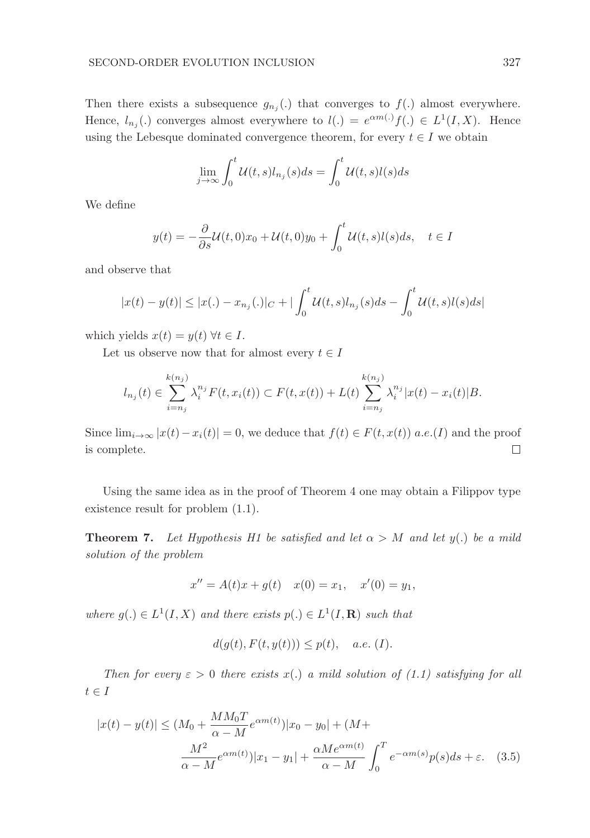Then there exists a subsequence  $g_{n_j}(\cdot)$  that converges to  $f(\cdot)$  almost everywhere. Hence,  $l_{n_j}$ . converges almost everywhere to  $l(.) = e^{\alpha m(.)} f(.) \in L^1(I, X)$ . Hence using the Lebesque dominated convergence theorem, for every  $t \in I$  we obtain

$$
\lim_{j \to \infty} \int_0^t \mathcal{U}(t, s) l_{n_j}(s) ds = \int_0^t \mathcal{U}(t, s) l(s) ds
$$

We define

$$
y(t) = -\frac{\partial}{\partial s} \mathcal{U}(t,0)x_0 + \mathcal{U}(t,0)y_0 + \int_0^t \mathcal{U}(t,s)l(s)ds, \quad t \in I
$$

and observe that

$$
|x(t) - y(t)| \le |x(.) - x_{n_j}(.)|_C + |\int_0^t \mathcal{U}(t, s) l_{n_j}(s) ds - \int_0^t \mathcal{U}(t, s) l(s) ds|
$$

which yields  $x(t) = y(t) \,\forall t \in I$ .

Let us observe now that for almost every  $t \in I$ 

$$
l_{n_j}(t) \in \sum_{i=n_j}^{k(n_j)} \lambda_i^{n_j} F(t, x_i(t)) \subset F(t, x(t)) + L(t) \sum_{i=n_j}^{k(n_j)} \lambda_i^{n_j} |x(t) - x_i(t)| B.
$$

Since  $\lim_{i\to\infty} |x(t)-x_i(t)|=0$ , we deduce that  $f(t)\in F(t,x(t))$  a.e.(I) and the proof is complete.  $\Box$ 

Using the same idea as in the proof of Theorem 4 one may obtain a Filippov type existence result for problem (1.1).

**Theorem 7.** Let Hypothesis H1 be satisfied and let  $\alpha > M$  and let  $y(.)$  be a mild solution of the problem

$$
x'' = A(t)x + g(t) \quad x(0) = x_1, \quad x'(0) = y_1,
$$

where  $g(.) \in L^1(I, X)$  and there exists  $p(.) \in L^1(I, \mathbf{R})$  such that

$$
d(g(t), F(t, y(t))) \le p(t), \quad a.e. \ (I).
$$

Then for every  $\varepsilon > 0$  there exists x(.) a mild solution of (1.1) satisfying for all  $t \in I$ 

$$
|x(t) - y(t)| \le (M_0 + \frac{MM_0T}{\alpha - M} e^{\alpha m(t)}) |x_0 - y_0| + (M + \frac{M^2}{\alpha - M} e^{\alpha m(t)}) |x_1 - y_1| + \frac{\alpha M e^{\alpha m(t)}}{\alpha - M} \int_0^T e^{-\alpha m(s)} p(s) ds + \varepsilon.
$$
 (3.5)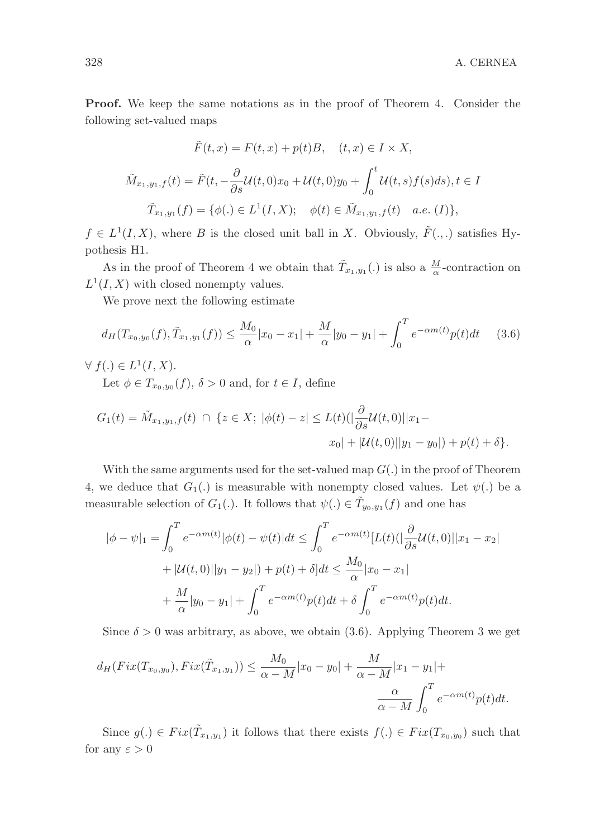Proof. We keep the same notations as in the proof of Theorem 4. Consider the following set-valued maps

$$
\tilde{F}(t,x) = F(t,x) + p(t)B, \quad (t,x) \in I \times X,
$$
  

$$
\tilde{M}_{x_1,y_1,f}(t) = \tilde{F}(t, -\frac{\partial}{\partial s}\mathcal{U}(t,0)x_0 + \mathcal{U}(t,0)y_0 + \int_0^t \mathcal{U}(t,s)f(s)ds), t \in I
$$
  

$$
\tilde{T}_{x_1,y_1}(f) = \{\phi(.) \in L^1(I,X); \quad \phi(t) \in \tilde{M}_{x_1,y_1,f}(t) \quad a.e. \ (I)\},
$$

 $f \in L^1(I, X)$ , where B is the closed unit ball in X. Obviously,  $\tilde{F}(.,.)$  satisfies Hypothesis H1.

As in the proof of Theorem 4 we obtain that  $\tilde{T}_{x_1,y_1}(.)$  is also a  $\frac{M}{\alpha}$ -contraction on  $L^1(I, X)$  with closed nonempty values.

We prove next the following estimate

$$
d_H(T_{x_0,y_0}(f), \tilde{T}_{x_1,y_1}(f)) \le \frac{M_0}{\alpha}|x_0 - x_1| + \frac{M}{\alpha}|y_0 - y_1| + \int_0^T e^{-\alpha m(t)} p(t) dt \qquad (3.6)
$$

 $\forall f(.) \in L^1(I, X).$ 

Let  $\phi \in T_{x_0, y_0}(f)$ ,  $\delta > 0$  and, for  $t \in I$ , define

$$
G_1(t) = \tilde{M}_{x_1, y_1, f}(t) \cap \{z \in X; |\phi(t) - z| \le L(t) \left( \left| \frac{\partial}{\partial s} \mathcal{U}(t, 0) \right| | x_1 - x_0 | + |\mathcal{U}(t, 0)| | y_1 - y_0 | \right) + p(t) + \delta \}.
$$

With the same arguments used for the set-valued map  $G(.)$  in the proof of Theorem 4, we deduce that  $G_1(.)$  is measurable with nonempty closed values. Let  $\psi(.)$  be a measurable selection of  $G_1(.)$ . It follows that  $\psi(.) \in \tilde{T}_{y_0, y_1}(f)$  and one has

$$
|\phi - \psi|_1 = \int_0^T e^{-\alpha m(t)} |\phi(t) - \psi(t)| dt \le \int_0^T e^{-\alpha m(t)} [L(t) (|\frac{\partial}{\partial s} \mathcal{U}(t, 0)| |x_1 - x_2| + |\mathcal{U}(t, 0)| |y_1 - y_2|) + p(t) + \delta] dt \le \frac{M_0}{\alpha} |x_0 - x_1| + \frac{M}{\alpha} |y_0 - y_1| + \int_0^T e^{-\alpha m(t)} p(t) dt + \delta \int_0^T e^{-\alpha m(t)} p(t) dt.
$$

Since  $\delta > 0$  was arbitrary, as above, we obtain (3.6). Applying Theorem 3 we get

$$
d_H(Fix(T_{x_0,y_0}), Fix(\tilde{T}_{x_1,y_1})) \le \frac{M_0}{\alpha - M}|x_0 - y_0| + \frac{M}{\alpha - M}|x_1 - y_1| + \frac{\alpha}{\alpha - M} \int_0^T e^{-\alpha m(t)} p(t) dt.
$$

Since  $g(.) \in Fix(\tilde{T}_{x_1,y_1})$  it follows that there exists  $f(.) \in Fix(T_{x_0,y_0})$  such that for any  $\varepsilon > 0$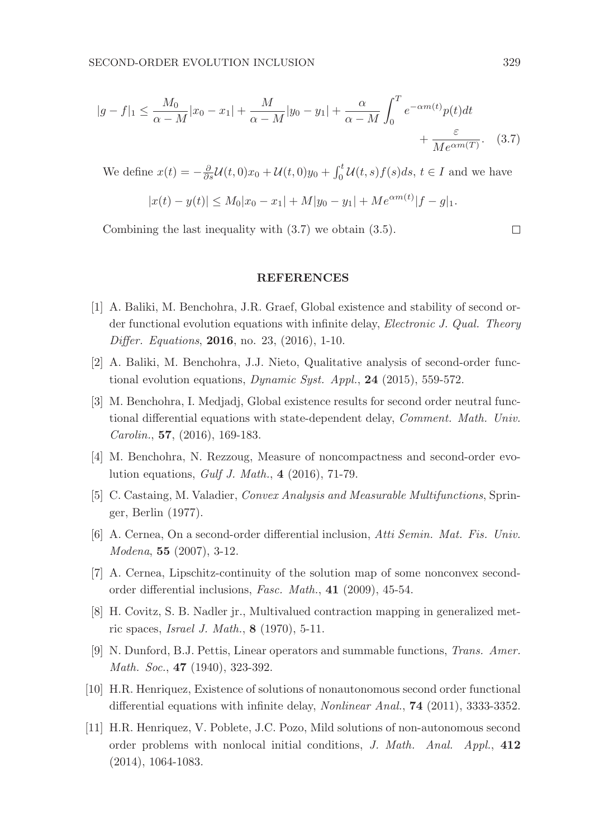$$
|g - f|_1 \le \frac{M_0}{\alpha - M}|x_0 - x_1| + \frac{M}{\alpha - M}|y_0 - y_1| + \frac{\alpha}{\alpha - M} \int_0^T e^{-\alpha m(t)} p(t) dt + \frac{\varepsilon}{M e^{\alpha m(T)}}.
$$
 (3.7)

We define  $x(t) = -\frac{\partial}{\partial s}\mathcal{U}(t,0)x_0 + \mathcal{U}(t,0)y_0 + \int_0^t \mathcal{U}(t,s)f(s)ds, t \in I$  and we have

$$
|x(t) - y(t)| \le M_0 |x_0 - x_1| + M|y_0 - y_1| + M e^{\alpha m(t)} |f - g|_1.
$$

Combining the last inequality with (3.7) we obtain (3.5).

#### **REFERENCES**

- [1] A. Baliki, M. Benchohra, J.R. Graef, Global existence and stability of second order functional evolution equations with infinite delay, *Electronic J. Qual. Theory* Differ. Equations, 2016, no. 23, (2016), 1-10.
- [2] A. Baliki, M. Benchohra, J.J. Nieto, Qualitative analysis of second-order functional evolution equations, Dynamic Syst. Appl., 24 (2015), 559-572.
- [3] M. Benchohra, I. Medjadj, Global existence results for second order neutral functional differential equations with state-dependent delay, Comment. Math. Univ. Carolin., 57, (2016), 169-183.
- [4] M. Benchohra, N. Rezzoug, Measure of noncompactness and second-order evolution equations, Gulf J. Math., 4 (2016), 71-79.
- [5] C. Castaing, M. Valadier, Convex Analysis and Measurable Multifunctions, Springer, Berlin (1977).
- [6] A. Cernea, On a second-order differential inclusion, Atti Semin. Mat. Fis. Univ. Modena, 55 (2007), 3-12.
- [7] A. Cernea, Lipschitz-continuity of the solution map of some nonconvex secondorder differential inclusions, Fasc. Math., 41 (2009), 45-54.
- [8] H. Covitz, S. B. Nadler jr., Multivalued contraction mapping in generalized metric spaces, Israel J. Math., 8 (1970), 5-11.
- [9] N. Dunford, B.J. Pettis, Linear operators and summable functions, Trans. Amer. Math. Soc., **47** (1940), 323-392.
- [10] H.R. Henriquez, Existence of solutions of nonautonomous second order functional differential equations with infinite delay, Nonlinear Anal., 74 (2011), 3333-3352.
- [11] H.R. Henriquez, V. Poblete, J.C. Pozo, Mild solutions of non-autonomous second order problems with nonlocal initial conditions, J. Math. Anal. Appl., 412 (2014), 1064-1083.

 $\Box$